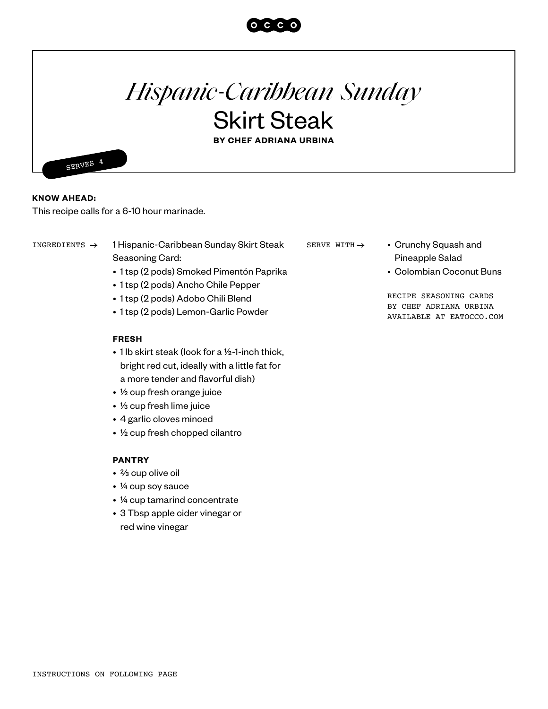

# *Hispanic-Caribbean Sunday* Skirt Steak

**BY CHEF ADRIANA URBINA**

SERVES 4

**KNOW AHEAD:** 

This recipe calls for a 6-10 hour marinade.

INGREDIENTS  $\rightarrow$  1 Hispanic-Caribbean Sunday Skirt Steak SERVE WITH  $\rightarrow$  • Crunchy Squash and Seasoning Card:

- 1 tsp (2 pods) Smoked Pimentón Paprika
- 1 tsp (2 pods) Ancho Chile Pepper
- 1 tsp (2 pods) Adobo Chili Blend
- 1 tsp (2 pods) Lemon-Garlic Powder

#### **FRESH**

- 1 lb skirt steak (look for a ½-1-inch thick, bright red cut, ideally with a little fat for a more tender and flavorful dish)
- ½ cup fresh orange juice
- ⅓ cup fresh lime juice
- 4 garlic cloves minced
- ½ cup fresh chopped cilantro

### **PANTRY**

- ⅔ cup olive oil
- ¼ cup soy sauce
- ¼ cup tamarind concentrate
- 3 Tbsp apple cider vinegar or red wine vinegar

SERVE WITH  $\rightarrow$ 

- Pineapple Salad
- Colombian Coconut Buns

RECIPE SEASONING CARDS BY CHEF ADRIANA URBINA AVAILABLE AT EATOCCO.COM